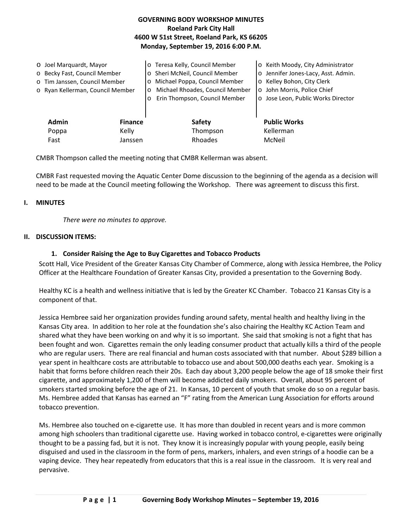| <b>GOVERNING BODY WORKSHOP MINUTES</b>     |
|--------------------------------------------|
| <b>Roeland Park City Hall</b>              |
| 4600 W 51st Street, Roeland Park, KS 66205 |
| Monday, September 19, 2016 6:00 P.M.       |

| O Joel Marquardt, Mayor<br>o Becky Fast, Council Member<br>o Tim Janssen, Council Member<br>o Ryan Kellerman, Council Member |                | o Teresa Kelly, Council Member<br>o Sheri McNeil, Council Member<br>Michael Poppa, Council Member<br>$\circ$<br>Michael Rhoades, Council Member<br>$\Omega$<br>Erin Thompson, Council Member | o Keith Moody, City Administrator<br>o Jennifer Jones-Lacy, Asst. Admin.<br>o Kelley Bohon, City Clerk<br>o John Morris, Police Chief<br>o Jose Leon, Public Works Director |
|------------------------------------------------------------------------------------------------------------------------------|----------------|----------------------------------------------------------------------------------------------------------------------------------------------------------------------------------------------|-----------------------------------------------------------------------------------------------------------------------------------------------------------------------------|
| <b>Admin</b>                                                                                                                 | <b>Finance</b> | <b>Safety</b>                                                                                                                                                                                | <b>Public Works</b>                                                                                                                                                         |
| Poppa                                                                                                                        | Kelly          | Thompson                                                                                                                                                                                     | Kellerman                                                                                                                                                                   |
| Fast                                                                                                                         | Janssen        | Rhoades                                                                                                                                                                                      | McNeil                                                                                                                                                                      |

CMBR Thompson called the meeting noting that CMBR Kellerman was absent.

CMBR Fast requested moving the Aquatic Center Dome discussion to the beginning of the agenda as a decision will need to be made at the Council meeting following the Workshop. There was agreement to discuss this first.

### **I. MINUTES**

*There were no minutes to approve.*

### **II. DISCUSSION ITEMS:**

### **1. Consider Raising the Age to Buy Cigarettes and Tobacco Products**

Scott Hall, Vice President of the Greater Kansas City Chamber of Commerce, along with Jessica Hembree, the Policy Officer at the Healthcare Foundation of Greater Kansas City, provided a presentation to the Governing Body.

Healthy KC is a health and wellness initiative that is led by the Greater KC Chamber. Tobacco 21 Kansas City is a component of that.

Jessica Hembree said her organization provides funding around safety, mental health and healthy living in the Kansas City area. In addition to her role at the foundation she's also chairing the Healthy KC Action Team and shared what they have been working on and why it is so important. She said that smoking is not a fight that has been fought and won. Cigarettes remain the only leading consumer product that actually kills a third of the people who are regular users. There are real financial and human costs associated with that number. About \$289 billion a year spent in healthcare costs are attributable to tobacco use and about 500,000 deaths each year. Smoking is a habit that forms before children reach their 20s. Each day about 3,200 people below the age of 18 smoke their first cigarette, and approximately 1,200 of them will become addicted daily smokers. Overall, about 95 percent of smokers started smoking before the age of 21. In Kansas, 10 percent of youth that smoke do so on a regular basis. Ms. Hembree added that Kansas has earned an "F" rating from the American Lung Association for efforts around tobacco prevention.

Ms. Hembree also touched on e-cigarette use. It has more than doubled in recent years and is more common among high schoolers than traditional cigarette use. Having worked in tobacco control, e-cigarettes were originally thought to be a passing fad, but it is not. They know it is increasingly popular with young people, easily being disguised and used in the classroom in the form of pens, markers, inhalers, and even strings of a hoodie can be a vaping device. They hear repeatedly from educators that this is a real issue in the classroom. It is very real and pervasive.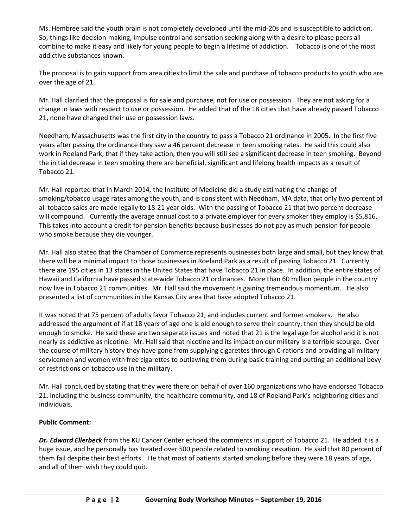Ms. Hembree said the youth brain is not completely developed until the mid-20s and is susceptible to addiction. So, things like decision-making, impulse control and sensation seeking along with a desire to please peers all combine to make it easy and likely for young people to begin a lifetime of addiction. Tobacco is one of the most addictive substances known.

The proposal is to gain support from area cities to limit the sale and purchase of tobacco products to youth who are over the age of 21.

Mr. Hall clarified that the proposal is for sale and purchase, not for use or possession. They are not asking for a change in laws with respect to use or possession. He added that of the 18 cities that have already passed Tobacco 21, none have changed their use or possession laws.

Needham, Massachusetts was the first city in the country to pass a Tobacco 21 ordinance in 2005. In the first five years after passing the ordinance they saw a 46 percent decrease in teen smoking rates. He said this could also work in Roeland Park, that if they take action, then you will still see a significant decrease in teen smoking. Beyond the initial decrease in teen smoking there are beneficial, significant and lifelong health impacts as a result of Tobacco 21.

Mr. Hall reported that in March 2014, the Institute of Medicine did a study estimating the change of smoking/tobacco usage rates among the youth, and is consistent with Needham, MA data, that only two percent of all tobacco sales are made legally to 18-21 year olds. With the passing of Tobacco 21 that two percent decrease will compound. Currently the average annual cost to a private employer for every smoker they employ is \$5,816. This takes into account a credit for pension benefits because businesses do not pay as much pension for people who smoke because they die younger.

Mr. Hall also stated that the Chamber of Commerce represents businesses both large and small, but they know that there will be a minimal impact to those businesses in Roeland Park as a result of passing Tobacco 21. Currently there are 195 cities in 13 states in the United States that have Tobacco 21 in place. In addition, the entire states of Hawaii and California have passed state-wide Tobacco 21 ordinances. More than 60 million people in the country now live in Tobacco 21 communities. Mr. Hall said the movement is gaining tremendous momentum. He also presented a list of communities in the Kansas City area that have adopted Tobacco 21.

It was noted that 75 percent of adults favor Tobacco 21, and includes current and former smokers. He also addressed the argument of if at 18 years of age one is old enough to serve their country, then they should be old enough to smoke. He said these are two separate issues and noted that 21 is the legal age for alcohol and it is not nearly as addictive as nicotine. Mr. Hall said that nicotine and its impact on our military is a terrible scourge. Over the course of military history they have gone from supplying cigarettes through C-rations and providing all military servicemen and women with free cigarettes to outlawing them during basic training and putting an additional bevy of restrictions on tobacco use in the military.

Mr. Hall concluded by stating that they were there on behalf of over 160 organizations who have endorsed Tobacco 21, including the business community, the healthcare community, and 18 of Roeland Park's neighboring cities and individuals.

## **Public Comment:**

*Dr. Edward Ellerbeck* from the KU Cancer Center echoed the comments in support of Tobacco 21. He added it is a huge issue, and he personally has treated over 500 people related to smoking cessation. He said that 80 percent of them fail despite their best efforts. He that most of patients started smoking before they were 18 years of age, and all of them wish they could quit.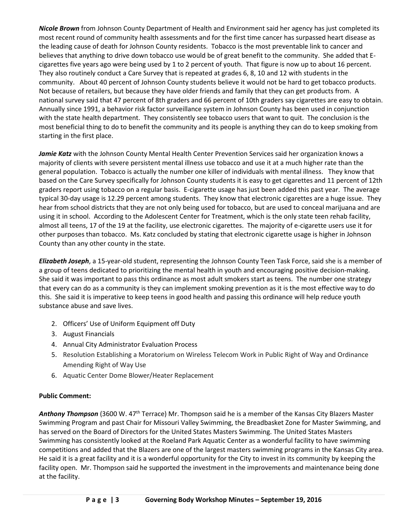*Nicole Brown* from Johnson County Department of Health and Environment said her agency has just completed its most recent round of community health assessments and for the first time cancer has surpassed heart disease as the leading cause of death for Johnson County residents. Tobacco is the most preventable link to cancer and believes that anything to drive down tobacco use would be of great benefit to the community. She added that Ecigarettes five years ago were being used by 1 to 2 percent of youth. That figure is now up to about 16 percent. They also routinely conduct a Care Survey that is repeated at grades 6, 8, 10 and 12 with students in the community. About 40 percent of Johnson County students believe it would not be hard to get tobacco products. Not because of retailers, but because they have older friends and family that they can get products from. A national survey said that 47 percent of 8th graders and 66 percent of 10th graders say cigarettes are easy to obtain. Annually since 1991, a behavior risk factor surveillance system in Johnson County has been used in conjunction with the state health department. They consistently see tobacco users that want to quit. The conclusion is the most beneficial thing to do to benefit the community and its people is anything they can do to keep smoking from starting in the first place.

Jamie Katz with the Johnson County Mental Health Center Prevention Services said her organization knows a majority of clients with severe persistent mental illness use tobacco and use it at a much higher rate than the general population. Tobacco is actually the number one killer of individuals with mental illness. They know that based on the Care Survey specifically for Johnson County students it is easy to get cigarettes and 11 percent of 12th graders report using tobacco on a regular basis. E-cigarette usage has just been added this past year. The average typical 30-day usage is 12.29 percent among students. They know that electronic cigarettes are a huge issue. They hear from school districts that they are not only being used for tobacco, but are used to conceal marijuana and are using it in school. According to the Adolescent Center for Treatment, which is the only state teen rehab facility, almost all teens, 17 of the 19 at the facility, use electronic cigarettes. The majority of e-cigarette users use it for other purposes than tobacco. Ms. Katz concluded by stating that electronic cigarette usage is higher in Johnson County than any other county in the state.

*Elizabeth Joseph*, a 15-year-old student, representing the Johnson County Teen Task Force, said she is a member of a group of teens dedicated to prioritizing the mental health in youth and encouraging positive decision-making. She said it was important to pass this ordinance as most adult smokers start as teens. The number one strategy that every can do as a community is they can implement smoking prevention as it is the most effective way to do this. She said it is imperative to keep teens in good health and passing this ordinance will help reduce youth substance abuse and save lives.

- 2. Officers' Use of Uniform Equipment off Duty
- 3. August Financials
- 4. Annual City Administrator Evaluation Process
- 5. Resolution Establishing a Moratorium on Wireless Telecom Work in Public Right of Way and Ordinance Amending Right of Way Use
- 6. Aquatic Center Dome Blower/Heater Replacement

# **Public Comment:**

Anthony Thompson (3600 W. 47<sup>th</sup> Terrace) Mr. Thompson said he is a member of the Kansas City Blazers Master Swimming Program and past Chair for Missouri Valley Swimming, the Breadbasket Zone for Master Swimming, and has served on the Board of Directors for the United States Masters Swimming. The United States Masters Swimming has consistently looked at the Roeland Park Aquatic Center as a wonderful facility to have swimming competitions and added that the Blazers are one of the largest masters swimming programs in the Kansas City area. He said it is a great facility and it is a wonderful opportunity for the City to invest in its community by keeping the facility open. Mr. Thompson said he supported the investment in the improvements and maintenance being done at the facility.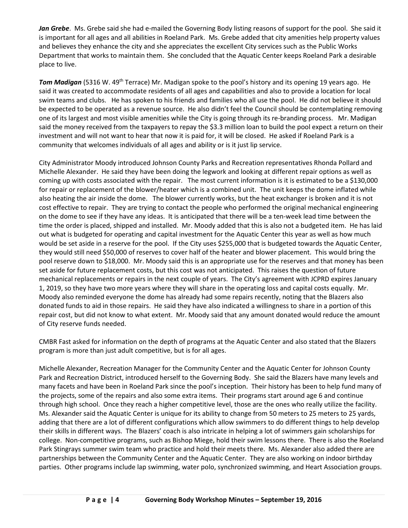*Jan Grebe*. Ms. Grebe said she had e-mailed the Governing Body listing reasons of support for the pool. She said it is important for all ages and all abilities in Roeland Park. Ms. Grebe added that city amenities help property values and believes they enhance the city and she appreciates the excellent City services such as the Public Works Department that works to maintain them. She concluded that the Aquatic Center keeps Roeland Park a desirable place to live.

*Tom Madigan* (5316 W. 49th Terrace) Mr. Madigan spoke to the pool's history and its opening 19 years ago. He said it was created to accommodate residents of all ages and capabilities and also to provide a location for local swim teams and clubs. He has spoken to his friends and families who all use the pool. He did not believe it should be expected to be operated as a revenue source. He also didn't feel the Council should be contemplating removing one of its largest and most visible amenities while the City is going through its re-branding process. Mr. Madigan said the money received from the taxpayers to repay the \$3.3 million loan to build the pool expect a return on their investment and will not want to hear that now it is paid for, it will be closed. He asked if Roeland Park is a community that welcomes individuals of all ages and ability or is it just lip service.

City Administrator Moody introduced Johnson County Parks and Recreation representatives Rhonda Pollard and Michelle Alexander. He said they have been doing the legwork and looking at different repair options as well as coming up with costs associated with the repair. The most current information is it is estimated to be a \$130,000 for repair or replacement of the blower/heater which is a combined unit. The unit keeps the dome inflated while also heating the air inside the dome. The blower currently works, but the heat exchanger is broken and it is not cost effective to repair. They are trying to contact the people who performed the original mechanical engineering on the dome to see if they have any ideas. It is anticipated that there will be a ten-week lead time between the time the order is placed, shipped and installed. Mr. Moody added that this is also not a budgeted item. He has laid out what is budgeted for operating and capital investment for the Aquatic Center this year as well as how much would be set aside in a reserve for the pool. If the City uses \$255,000 that is budgeted towards the Aquatic Center, they would still need \$50,000 of reserves to cover half of the heater and blower placement. This would bring the pool reserve down to \$18,000. Mr. Moody said this is an appropriate use for the reserves and that money has been set aside for future replacement costs, but this cost was not anticipated. This raises the question of future mechanical replacements or repairs in the next couple of years. The City's agreement with JCPRD expires January 1, 2019, so they have two more years where they will share in the operating loss and capital costs equally. Mr. Moody also reminded everyone the dome has already had some repairs recently, noting that the Blazers also donated funds to aid in those repairs. He said they have also indicated a willingness to share in a portion of this repair cost, but did not know to what extent. Mr. Moody said that any amount donated would reduce the amount of City reserve funds needed.

CMBR Fast asked for information on the depth of programs at the Aquatic Center and also stated that the Blazers program is more than just adult competitive, but is for all ages.

Michelle Alexander, Recreation Manager for the Community Center and the Aquatic Center for Johnson County Park and Recreation District, introduced herself to the Governing Body. She said the Blazers have many levels and many facets and have been in Roeland Park since the pool's inception. Their history has been to help fund many of the projects, some of the repairs and also some extra items. Their programs start around age 6 and continue through high school. Once they reach a higher competitive level, those are the ones who really utilize the facility. Ms. Alexander said the Aquatic Center is unique for its ability to change from 50 meters to 25 meters to 25 yards, adding that there are a lot of different configurations which allow swimmers to do different things to help develop their skills in different ways. The Blazers' coach is also intricate in helping a lot of swimmers gain scholarships for college. Non-competitive programs, such as Bishop Miege, hold their swim lessons there. There is also the Roeland Park Stingrays summer swim team who practice and hold their meets there. Ms. Alexander also added there are partnerships between the Community Center and the Aquatic Center. They are also working on indoor birthday parties. Other programs include lap swimming, water polo, synchronized swimming, and Heart Association groups.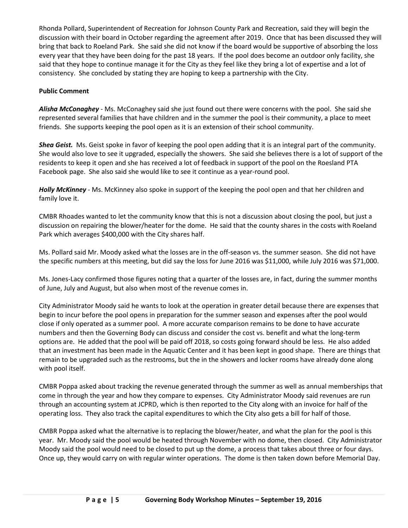Rhonda Pollard, Superintendent of Recreation for Johnson County Park and Recreation, said they will begin the discussion with their board in October regarding the agreement after 2019. Once that has been discussed they will bring that back to Roeland Park. She said she did not know if the board would be supportive of absorbing the loss every year that they have been doing for the past 18 years. If the pool does become an outdoor only facility, she said that they hope to continue manage it for the City as they feel like they bring a lot of expertise and a lot of consistency. She concluded by stating they are hoping to keep a partnership with the City.

## **Public Comment**

*Alisha McConaghey* - Ms. McConaghey said she just found out there were concerns with the pool. She said she represented several families that have children and in the summer the pool is their community, a place to meet friends. She supports keeping the pool open as it is an extension of their school community.

*Shea Geist.* Ms. Geist spoke in favor of keeping the pool open adding that it is an integral part of the community. She would also love to see it upgraded, especially the showers. She said she believes there is a lot of support of the residents to keep it open and she has received a lot of feedback in support of the pool on the Roesland PTA Facebook page. She also said she would like to see it continue as a year-round pool.

*Holly McKinney* - Ms. McKinney also spoke in support of the keeping the pool open and that her children and family love it.

CMBR Rhoades wanted to let the community know that this is not a discussion about closing the pool, but just a discussion on repairing the blower/heater for the dome. He said that the county shares in the costs with Roeland Park which averages \$400,000 with the City shares half.

Ms. Pollard said Mr. Moody asked what the losses are in the off-season vs. the summer season. She did not have the specific numbers at this meeting, but did say the loss for June 2016 was \$11,000, while July 2016 was \$71,000.

Ms. Jones-Lacy confirmed those figures noting that a quarter of the losses are, in fact, during the summer months of June, July and August, but also when most of the revenue comes in.

City Administrator Moody said he wants to look at the operation in greater detail because there are expenses that begin to incur before the pool opens in preparation for the summer season and expenses after the pool would close if only operated as a summer pool. A more accurate comparison remains to be done to have accurate numbers and then the Governing Body can discuss and consider the cost vs. benefit and what the long-term options are. He added that the pool will be paid off 2018, so costs going forward should be less. He also added that an investment has been made in the Aquatic Center and it has been kept in good shape. There are things that remain to be upgraded such as the restrooms, but the in the showers and locker rooms have already done along with pool itself.

CMBR Poppa asked about tracking the revenue generated through the summer as well as annual memberships that come in through the year and how they compare to expenses. City Administrator Moody said revenues are run through an accounting system at JCPRD, which is then reported to the City along with an invoice for half of the operating loss. They also track the capital expenditures to which the City also gets a bill for half of those.

CMBR Poppa asked what the alternative is to replacing the blower/heater, and what the plan for the pool is this year. Mr. Moody said the pool would be heated through November with no dome, then closed. City Administrator Moody said the pool would need to be closed to put up the dome, a process that takes about three or four days. Once up, they would carry on with regular winter operations. The dome is then taken down before Memorial Day.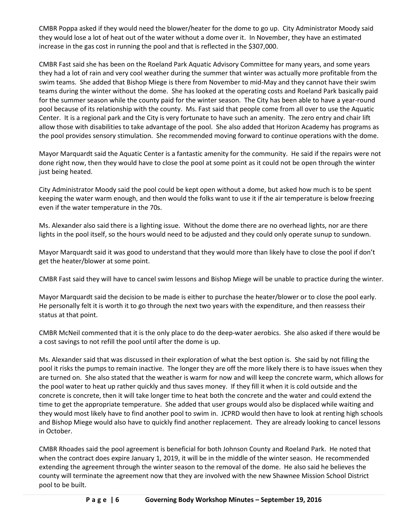CMBR Poppa asked if they would need the blower/heater for the dome to go up. City Administrator Moody said they would lose a lot of heat out of the water without a dome over it. In November, they have an estimated increase in the gas cost in running the pool and that is reflected in the \$307,000.

CMBR Fast said she has been on the Roeland Park Aquatic Advisory Committee for many years, and some years they had a lot of rain and very cool weather during the summer that winter was actually more profitable from the swim teams. She added that Bishop Miege is there from November to mid-May and they cannot have their swim teams during the winter without the dome. She has looked at the operating costs and Roeland Park basically paid for the summer season while the county paid for the winter season. The City has been able to have a year-round pool because of its relationship with the county. Ms. Fast said that people come from all over to use the Aquatic Center. It is a regional park and the City is very fortunate to have such an amenity. The zero entry and chair lift allow those with disabilities to take advantage of the pool. She also added that Horizon Academy has programs as the pool provides sensory stimulation. She recommended moving forward to continue operations with the dome.

Mayor Marquardt said the Aquatic Center is a fantastic amenity for the community. He said if the repairs were not done right now, then they would have to close the pool at some point as it could not be open through the winter just being heated.

City Administrator Moody said the pool could be kept open without a dome, but asked how much is to be spent keeping the water warm enough, and then would the folks want to use it if the air temperature is below freezing even if the water temperature in the 70s.

Ms. Alexander also said there is a lighting issue. Without the dome there are no overhead lights, nor are there lights in the pool itself, so the hours would need to be adjusted and they could only operate sunup to sundown.

Mayor Marquardt said it was good to understand that they would more than likely have to close the pool if don't get the heater/blower at some point.

CMBR Fast said they will have to cancel swim lessons and Bishop Miege will be unable to practice during the winter.

Mayor Marquardt said the decision to be made is either to purchase the heater/blower or to close the pool early. He personally felt it is worth it to go through the next two years with the expenditure, and then reassess their status at that point.

CMBR McNeil commented that it is the only place to do the deep-water aerobics. She also asked if there would be a cost savings to not refill the pool until after the dome is up.

Ms. Alexander said that was discussed in their exploration of what the best option is. She said by not filling the pool it risks the pumps to remain inactive. The longer they are off the more likely there is to have issues when they are turned on. She also stated that the weather is warm for now and will keep the concrete warm, which allows for the pool water to heat up rather quickly and thus saves money. If they fill it when it is cold outside and the concrete is concrete, then it will take longer time to heat both the concrete and the water and could extend the time to get the appropriate temperature. She added that user groups would also be displaced while waiting and they would most likely have to find another pool to swim in. JCPRD would then have to look at renting high schools and Bishop Miege would also have to quickly find another replacement. They are already looking to cancel lessons in October.

CMBR Rhoades said the pool agreement is beneficial for both Johnson County and Roeland Park. He noted that when the contract does expire January 1, 2019, it will be in the middle of the winter season. He recommended extending the agreement through the winter season to the removal of the dome. He also said he believes the county will terminate the agreement now that they are involved with the new Shawnee Mission School District pool to be built.